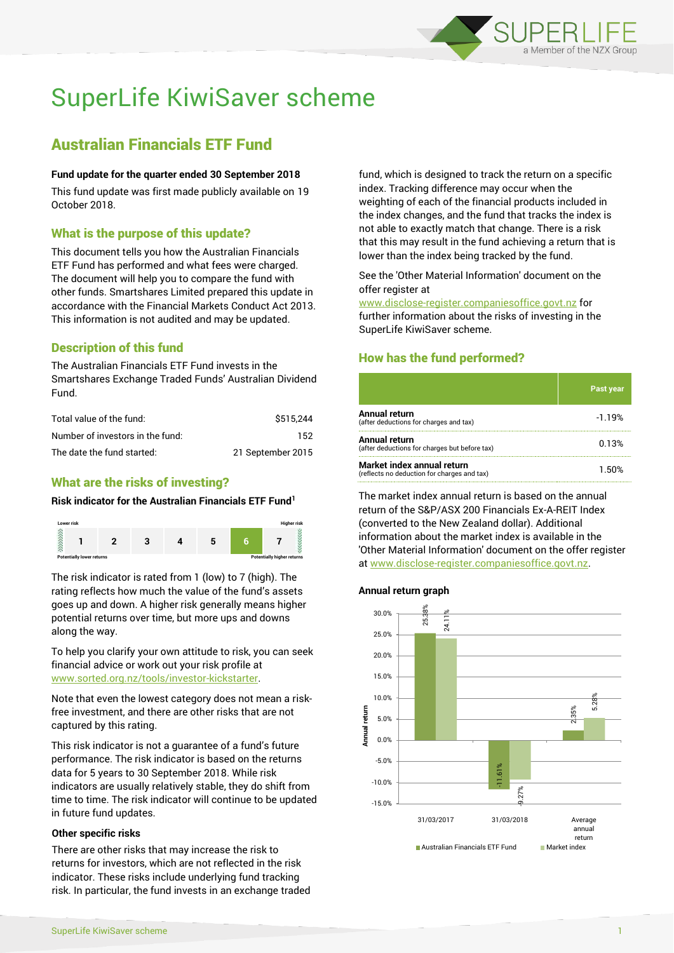

# SuperLife KiwiSaver scheme

## Australian Financials ETF Fund

#### **Fund update for the quarter ended 30 September 2018**

This fund update was first made publicly available on 19 October 2018.

## What is the purpose of this update?

This document tells you how the Australian Financials ETF Fund has performed and what fees were charged. The document will help you to compare the fund with other funds. Smartshares Limited prepared this update in accordance with the Financial Markets Conduct Act 2013. This information is not audited and may be updated.

## Description of this fund

The Australian Financials ETF Fund invests in the Smartshares Exchange Traded Funds' Australian Dividend Fund.

| Total value of the fund:         | \$515.244         |
|----------------------------------|-------------------|
| Number of investors in the fund: | 152.              |
| The date the fund started:       | 21 September 2015 |

## What are the risks of investing?

#### **Risk indicator for the Australian Financials ETF Fund<sup>1</sup>**



The risk indicator is rated from 1 (low) to 7 (high). The rating reflects how much the value of the fund's assets goes up and down. A higher risk generally means higher potential returns over time, but more ups and downs along the way.

To help you clarify your own attitude to risk, you can seek financial advice or work out your risk profile at [www.sorted.org.nz/tools/investor-kickstarter.](http://www.sorted.org.nz/tools/investor-kickstarter)

Note that even the lowest category does not mean a riskfree investment, and there are other risks that are not captured by this rating.

This risk indicator is not a guarantee of a fund's future performance. The risk indicator is based on the returns data for 5 years to 30 September 2018. While risk indicators are usually relatively stable, they do shift from time to time. The risk indicator will continue to be updated in future fund updates.

#### **Other specific risks**

There are other risks that may increase the risk to returns for investors, which are not reflected in the risk indicator. These risks include underlying fund tracking risk. In particular, the fund invests in an exchange traded fund, which is designed to track the return on a specific index. Tracking difference may occur when the weighting of each of the financial products included in the index changes, and the fund that tracks the index is not able to exactly match that change. There is a risk that this may result in the fund achieving a return that is lower than the index being tracked by the fund.

See the 'Other Material Information' document on the offer register at

www.disclose-register.companiesoffice.govt.nz for further information about the risks of investing in the SuperLife KiwiSaver scheme.

## How has the fund performed?

|                                                                           | <b>Past year</b> |
|---------------------------------------------------------------------------|------------------|
| Annual return<br>(after deductions for charges and tax)                   | $-1.19%$         |
| <b>Annual return</b><br>(after deductions for charges but before tax)     | 0.13%            |
| Market index annual return<br>(reflects no deduction for charges and tax) | 1.50%            |

The market index annual return is based on the annual return of the S&P/ASX 200 Financials Ex-A-REIT Index (converted to the New Zealand dollar). Additional information about the market index is available in the 'Other Material Information' document on the offer register at www.disclose-register.companiesoffice.govt.nz.

#### **Annual return graph**

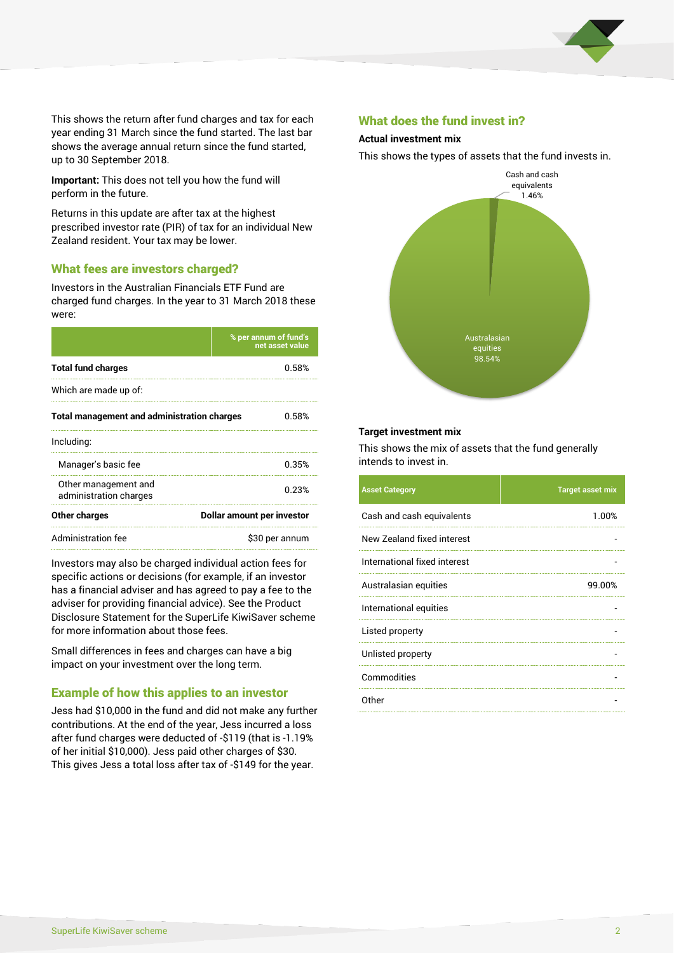

This shows the return after fund charges and tax for each year ending 31 March since the fund started. The last bar shows the average annual return since the fund started, up to 30 September 2018.

**Important:** This does not tell you how the fund will perform in the future.

Returns in this update are after tax at the highest prescribed investor rate (PIR) of tax for an individual New Zealand resident. Your tax may be lower.

#### What fees are investors charged?

Investors in the Australian Financials ETF Fund are charged fund charges. In the year to 31 March 2018 these were:

|                                                    | % per annum of fund's<br>net asset value |  |
|----------------------------------------------------|------------------------------------------|--|
| <b>Total fund charges</b>                          | 0.58%                                    |  |
| Which are made up of:                              |                                          |  |
| <b>Total management and administration charges</b> | 0.58%                                    |  |
| Including:                                         |                                          |  |
| Manager's basic fee                                | 0.35%                                    |  |
| Other management and<br>administration charges     | 0.23%                                    |  |
| Other charges                                      | Dollar amount per investor               |  |
| Administration fee                                 | \$30 per annum                           |  |

Investors may also be charged individual action fees for specific actions or decisions (for example, if an investor has a financial adviser and has agreed to pay a fee to the adviser for providing financial advice). See the Product Disclosure Statement for the SuperLife KiwiSaver scheme for more information about those fees.

Small differences in fees and charges can have a big impact on your investment over the long term.

## Example of how this applies to an investor

Jess had \$10,000 in the fund and did not make any further contributions. At the end of the year, Jess incurred a loss after fund charges were deducted of -\$119 (that is -1.19% of her initial \$10,000). Jess paid other charges of \$30. This gives Jess a total loss after tax of -\$149 for the year.

#### What does the fund invest in?

#### **Actual investment mix**

This shows the types of assets that the fund invests in.



#### **Target investment mix**

This shows the mix of assets that the fund generally intends to invest in.

| <b>Asset Category</b>        | <b>Target asset mix</b> |
|------------------------------|-------------------------|
| Cash and cash equivalents    | 1.00%                   |
| New Zealand fixed interest   |                         |
| International fixed interest |                         |
| Australasian equities        | 99.00%                  |
| International equities       |                         |
| Listed property              |                         |
| Unlisted property            |                         |
| Commodities                  |                         |
| Other                        |                         |